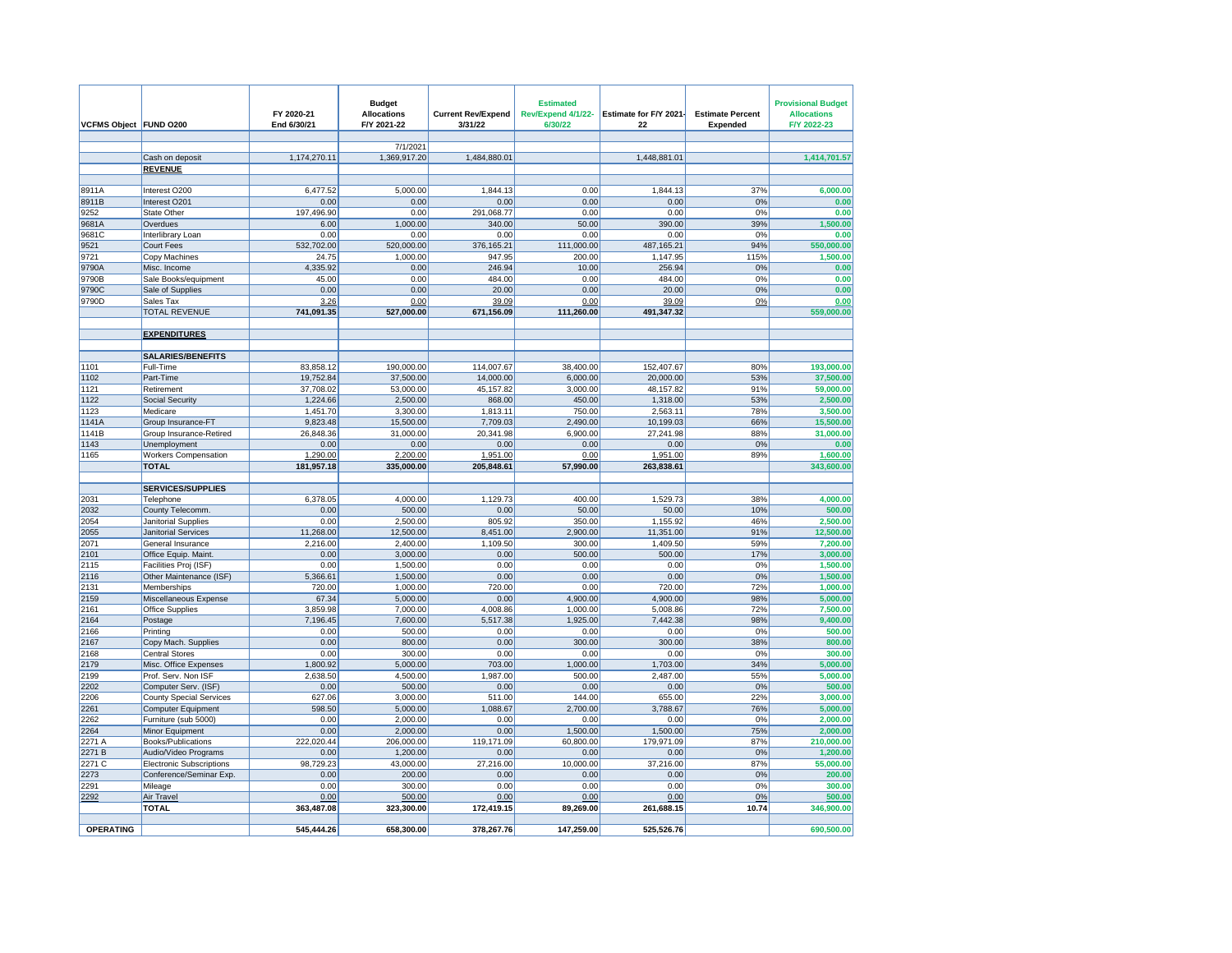| VCFMS Object FUND 0200 |                                             | FY 2020-21<br>End 6/30/21 | <b>Budget</b><br><b>Allocations</b><br>F/Y 2021-22 | <b>Current Rev/Expend</b><br>3/31/22 | <b>Estimated</b><br>Rev/Expend 4/1/22-<br>6/30/22 | Estimate for F/Y 2021<br>22 | <b>Estimate Percent</b><br>Expended | <b>Provisional Budget</b><br><b>Allocations</b><br>F/Y 2022-23 |
|------------------------|---------------------------------------------|---------------------------|----------------------------------------------------|--------------------------------------|---------------------------------------------------|-----------------------------|-------------------------------------|----------------------------------------------------------------|
|                        |                                             |                           | 7/1/2021                                           |                                      |                                                   |                             |                                     |                                                                |
|                        | Cash on deposit                             | 1,174,270.11              | 1,369,917.20                                       | 1,484,880.01                         |                                                   | 1,448,881.01                |                                     | 1,414,701.57                                                   |
|                        | <b>REVENUE</b>                              |                           |                                                    |                                      |                                                   |                             |                                     |                                                                |
|                        |                                             |                           |                                                    |                                      |                                                   |                             |                                     |                                                                |
| 8911A                  | Interest O200                               | 6,477.52                  | 5,000.00                                           | 1,844.13                             | 0.00                                              | 1,844.13                    | 37%                                 | 6,000.00                                                       |
| 8911B                  | Interest O201                               | 0.00                      | 0.00                                               | 0.00                                 | 0.00                                              | 0.00                        | 0%                                  | 0.00                                                           |
| 9252                   | State Other                                 | 197,496.90                | 0.00                                               | 291,068.77                           | 0.00                                              | 0.00                        | 0%                                  | 0.00                                                           |
| 9681A                  | Overdues                                    | 6.00                      | 1,000.00                                           | 340.00                               | 50.00                                             | 390.00                      | 39%                                 | 1,500.00                                                       |
| 9681C                  | Interlibrary Loan                           | 0.00                      | 0.00                                               | 0.00                                 | 0.00                                              | 0.00                        | 0%                                  | 0.00                                                           |
| 9521                   | Court Fees                                  | 532,702.00                | 520,000.00                                         | 376,165.21                           | 111,000.00                                        | 487, 165.21                 | 94%                                 | 550,000.00                                                     |
| 9721                   | Copy Machines                               | 24.75                     | 1,000.00                                           | 947.95                               | 200.00                                            | 1,147.95                    | 115%                                | 1,500.00                                                       |
| 9790A                  | Misc. Income                                | 4,335.92                  | 0.00                                               | 246.94                               | 10.00                                             | 256.94                      | 0%                                  | 0.00                                                           |
| 9790B                  | Sale Books/equipment                        | 45.00                     | 0.00                                               | 484.00                               | 0.00                                              | 484.00                      | 0%                                  | 0.00                                                           |
| 9790C<br>9790D         | Sale of Supplies<br>Sales Tax               | 0.00<br>3.26              | 0.00<br>0.00                                       | 20.00<br>39.09                       | 0.00<br>0.00                                      | 20.00<br>39.09              | 0%<br>0%                            | 0.00                                                           |
|                        | <b>TOTAL REVENUE</b>                        | 741,091.35                | 527,000.00                                         | 671,156.09                           | 111,260.00                                        | 491,347.32                  |                                     | 0.00<br>559,000.00                                             |
|                        |                                             |                           |                                                    |                                      |                                                   |                             |                                     |                                                                |
|                        | <b>EXPENDITURES</b>                         |                           |                                                    |                                      |                                                   |                             |                                     |                                                                |
|                        |                                             |                           |                                                    |                                      |                                                   |                             |                                     |                                                                |
|                        | <b>SALARIES/BENEFITS</b>                    |                           |                                                    |                                      |                                                   |                             |                                     |                                                                |
| 1101                   | Full-Time                                   | 83,858.12                 | 190,000.00                                         | 114,007.67                           | 38,400.00                                         | 152,407.67                  | 80%                                 | 193,000.00                                                     |
| 1102                   | Part-Time                                   | 19,752.84                 | 37,500.00                                          | 14,000.00                            | 6,000.00                                          | 20,000.00                   | 53%                                 | 37,500.00                                                      |
| 1121                   | Retirement                                  | 37,708.02                 | 53,000.00                                          | 45,157.82                            | 3,000.00                                          | 48,157.82                   | 91%                                 | 59,000.00                                                      |
| 1122                   | <b>Social Security</b>                      | 1,224.66                  | 2,500.00                                           | 868.00                               | 450.00                                            | 1,318.00                    | 53%                                 | 2,500.00                                                       |
| 1123                   | Medicare                                    | 1,451.70                  | 3,300.00                                           | 1,813.11                             | 750.00                                            | 2,563.11                    | 78%                                 | 3,500.00                                                       |
| 1141A                  | Group Insurance-FT                          | 9,823.48                  | 15,500.00                                          | 7,709.03                             | 2,490.00                                          | 10,199.03                   | 66%                                 | 15,500.00                                                      |
| 1141B                  | Group Insurance-Retired                     | 26,848.36                 | 31,000.00                                          | 20,341.98                            | 6,900.00                                          | 27,241.98                   | 88%                                 | 31,000.00                                                      |
| 1143                   | Unemployment                                | 0.00                      | 0.00                                               | 0.00                                 | 0.00                                              | 0.00                        | 0%                                  | 0.00                                                           |
| 1165                   | <b>Workers Compensation</b><br><b>TOTAL</b> | 1,290.00<br>181,957.18    | 2,200.00<br>335,000.00                             | 1,951.00<br>205,848.61               | 0.00<br>57,990.00                                 | 1,951.00<br>263,838.61      | 89%                                 | 1,600.00<br>343,600.00                                         |
|                        |                                             |                           |                                                    |                                      |                                                   |                             |                                     |                                                                |
|                        | <b>SERVICES/SUPPLIES</b>                    |                           |                                                    |                                      |                                                   |                             |                                     |                                                                |
| 2031                   | Telephone                                   | 6,378.05                  | 4,000.00                                           | 1,129.73                             | 400.00                                            | 1,529.73                    | 38%                                 | 4,000.00                                                       |
| 2032                   | County Telecomm.                            | 0.00                      | 500.00                                             | 0.00                                 | 50.00                                             | 50.00                       | 10%                                 | 500.00                                                         |
| 2054                   | Janitorial Supplies                         | 0.00                      | 2.500.00                                           | 805.92                               | 350.00                                            | 1,155.92                    | 46%                                 | 2,500.00                                                       |
| 2055                   | <b>Janitorial Services</b>                  | 11,268.00                 | 12,500.00                                          | 8,451.00                             | 2,900.00                                          | 11,351.00                   | 91%                                 | 12,500.00                                                      |
| 2071                   | General Insurance                           | 2,216.00                  | 2,400.00                                           | 1,109.50                             | 300.00                                            | 1,409.50                    | 59%                                 | 7,200.00                                                       |
| 2101                   | Office Equip. Maint.                        | 0.00                      | 3.000.00                                           | 0.00                                 | 500.00                                            | 500.00                      | 17%                                 | 3.000.00                                                       |
| 2115                   | Facilities Proj (ISF)                       | 0.00                      | 1,500.00                                           | 0.00                                 | 0.00                                              | 0.00                        | 0%                                  | 1,500.00                                                       |
| 2116                   | Other Maintenance (ISF)                     | 5,366.61                  | 1,500.00                                           | 0.00                                 | 0.00                                              | 0.00                        | 0%                                  | 1,500.00                                                       |
| 2131                   | Memberships                                 | 720.00                    | 1,000.00                                           | 720.00                               | 0.00                                              | 720.00                      | 72%                                 | 1,000.00                                                       |
| 2159                   | Miscellaneous Expense                       | 67.34                     | 5,000.00                                           | 0.00                                 | 4,900.00                                          | 4,900.00                    | 98%                                 | 5,000.00                                                       |
| 2161                   | <b>Office Supplies</b>                      | 3,859.98<br>7,196.45      | 7,000.00                                           | 4,008.86<br>5,517.38                 | 1,000.00<br>1,925.00                              | 5,008.86<br>7,442.38        | 72%<br>98%                          | 7,500.00<br>9,400.00                                           |
| 2164<br>2166           | Postage                                     | 0.00                      | 7,600.00<br>500.00                                 | 0.00                                 | 0.00                                              | 0.00                        | 0%                                  | 500.00                                                         |
| 2167                   | Printing<br>Copy Mach. Supplies             | 0.00                      | 800.00                                             | 0.00                                 | 300.00                                            | 300.00                      | 38%                                 | 800.00                                                         |
| 2168                   | <b>Central Stores</b>                       | 0.00                      | 300.00                                             | 0.00                                 | 0.00                                              | 0.00                        | 0%                                  | 300.00                                                         |
| 2179                   | Misc. Office Expenses                       | 1,800.92                  | 5,000.00                                           | 703.00                               | 1,000.00                                          | 1,703.00                    | 34%                                 | 5,000.00                                                       |
| 2199                   | Prof. Serv. Non ISF                         | 2,638.50                  | 4,500.00                                           | 1,987.00                             | 500.00                                            | 2,487.00                    | 55%                                 | 5,000.00                                                       |
| 2202                   | Computer Serv. (ISF)                        | 0.00                      | 500.00                                             | 0.00                                 | 0.00                                              | 0.00                        | 0%                                  | 500.00                                                         |
| 2206                   | <b>County Special Services</b>              | 627.06                    | 3,000.00                                           | 511.00                               | 144.00                                            | 655.00                      | 22%                                 | 3,000.00                                                       |
| 2261                   | <b>Computer Equipment</b>                   | 598.50                    | 5,000.00                                           | 1,088.67                             | 2,700.00                                          | 3,788.67                    | 76%                                 | 5,000.00                                                       |
| 2262                   | Furniture (sub 5000)                        | 0.00                      | 2,000.00                                           | 0.00                                 | 0.00                                              | 0.00                        | 0%                                  | 2,000.00                                                       |
| 2264                   | Minor Equipment                             | 0.00                      | 2,000.00                                           | 0.00                                 | 1,500.00                                          | 1,500.00                    | 75%                                 | 2,000.00                                                       |
| 2271 A                 | Books/Publications                          | 222,020.44                | 206,000.00                                         | 119,171.09                           | 60,800.00                                         | 179,971.09                  | 87%                                 | 210,000.00                                                     |
| 2271 B                 | Audio/Video Programs                        | 0.00                      | 1,200.00                                           | 0.00                                 | 0.00                                              | 0.00                        | 0%                                  | 1,200.00                                                       |
| 2271 C                 | <b>Electronic Subscriptions</b>             | 98,729.23                 | 43,000.00                                          | 27,216.00                            | 10,000.00                                         | 37,216.00                   | 87%                                 | 55,000.00                                                      |
| 2273                   | Conference/Seminar Exp.                     | 0.00                      | 200.00                                             | 0.00                                 | 0.00                                              | 0.00                        | 0%                                  | 200.00                                                         |
| 2291                   | Mileage                                     | 0.00                      | 300.00                                             | 0.00                                 | 0.00                                              | 0.00                        | 0%                                  | 300.00                                                         |
| 2292                   | Air Travel<br><b>TOTAL</b>                  | 0.00<br>363,487.08        | 500.00<br>323,300.00                               | 0.00<br>172,419.15                   | 0.00<br>89,269.00                                 | 0.00<br>261,688.15          | 0%<br>10.74                         | 500.00<br>346,900.00                                           |
|                        |                                             |                           |                                                    |                                      |                                                   |                             |                                     |                                                                |
| <b>OPERATING</b>       |                                             | 545.444.26                | 658.300.00                                         | 378.267.76                           | 147.259.00                                        | 525.526.76                  |                                     | 690.500.00                                                     |